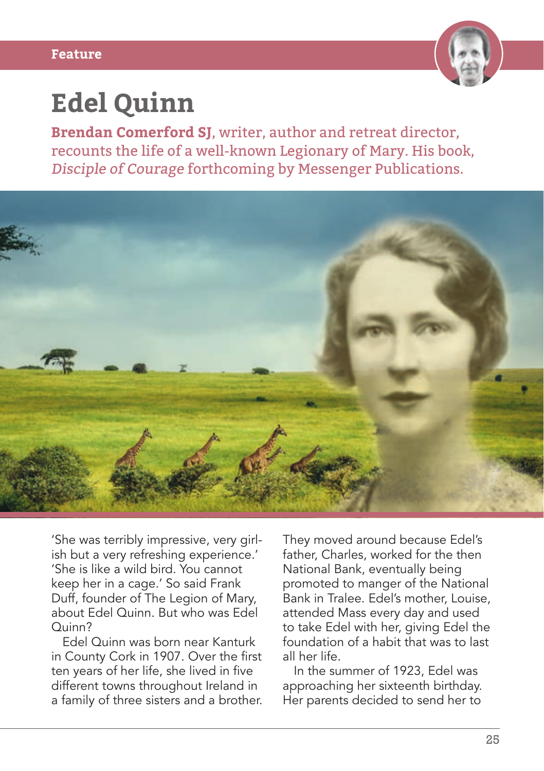

## **Edel Quinn**

**Brendan Comerford SJ**, writer, author and retreat director, recounts the life of a well-known Legionary of Mary. His book, Disciple of Courage forthcoming by Messenger Publications.



'She was terribly impressive, very girlish but a very refreshing experience.' 'She is like a wild bird. You cannot keep her in a cage.' So said Frank Duff, founder of The Legion of Mary, about Edel Quinn. But who was Edel Quinn?

Edel Quinn was born near Kanturk in County Cork in 1907. Over the first ten years of her life, she lived in five different towns throughout Ireland in a family of three sisters and a brother. They moved around because Edel's father, Charles, worked for the then National Bank, eventually being promoted to manger of the National Bank in Tralee. Edel's mother, Louise, attended Mass every day and used to take Edel with her, giving Edel the foundation of a habit that was to last all her life.

In the summer of 1923, Edel was approaching her sixteenth birthday. Her parents decided to send her to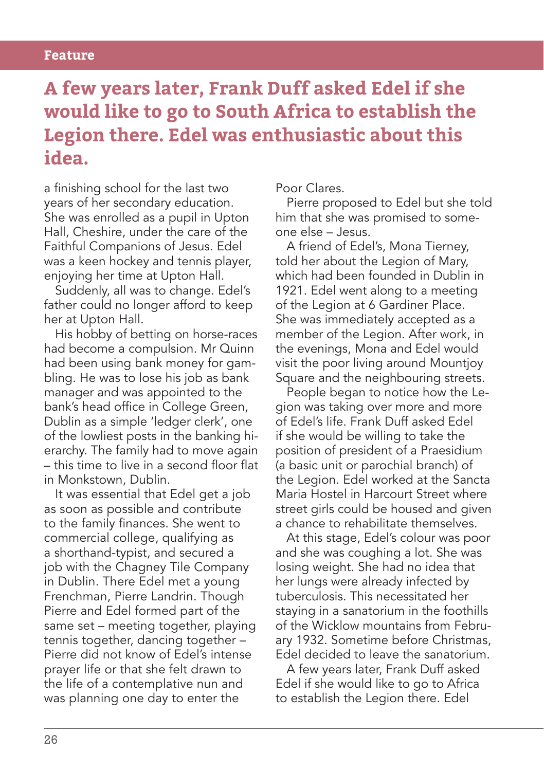## **Feature**

## **A few years later, Frank Duff asked Edel if she would like to go to South Africa to establish the Legion there. Edel was enthusiastic about this idea.**

a finishing school for the last two years of her secondary education. She was enrolled as a pupil in Upton Hall, Cheshire, under the care of the Faithful Companions of Jesus. Edel was a keen hockey and tennis player, enjoying her time at Upton Hall.

Suddenly, all was to change. Edel's father could no longer afford to keep her at Upton Hall.

His hobby of betting on horse-races had become a compulsion. Mr Quinn had been using bank money for gambling. He was to lose his job as bank manager and was appointed to the bank's head office in College Green, Dublin as a simple 'ledger clerk', one of the lowliest posts in the banking hierarchy. The family had to move again – this time to live in a second floor flat in Monkstown, Dublin.

It was essential that Edel get a job as soon as possible and contribute to the family finances. She went to commercial college, qualifying as a shorthand-typist, and secured a job with the Chagney Tile Company in Dublin. There Edel met a young Frenchman, Pierre Landrin. Though Pierre and Edel formed part of the same set – meeting together, playing tennis together, dancing together – Pierre did not know of Edel's intense prayer life or that she felt drawn to the life of a contemplative nun and was planning one day to enter the

Poor Clares.

Pierre proposed to Edel but she told him that she was promised to someone else – Jesus.

A friend of Edel's, Mona Tierney, told her about the Legion of Mary, which had been founded in Dublin in 1921. Edel went along to a meeting of the Legion at 6 Gardiner Place. She was immediately accepted as a member of the Legion. After work, in the evenings, Mona and Edel would visit the poor living around Mountjoy Square and the neighbouring streets.

People began to notice how the Legion was taking over more and more of Edel's life. Frank Duff asked Edel if she would be willing to take the position of president of a Praesidium (a basic unit or parochial branch) of the Legion. Edel worked at the Sancta Maria Hostel in Harcourt Street where street girls could be housed and given a chance to rehabilitate themselves.

At this stage, Edel's colour was poor and she was coughing a lot. She was losing weight. She had no idea that her lungs were already infected by tuberculosis. This necessitated her staying in a sanatorium in the foothills of the Wicklow mountains from February 1932. Sometime before Christmas, Edel decided to leave the sanatorium.

A few years later, Frank Duff asked Edel if she would like to go to Africa to establish the Legion there. Edel